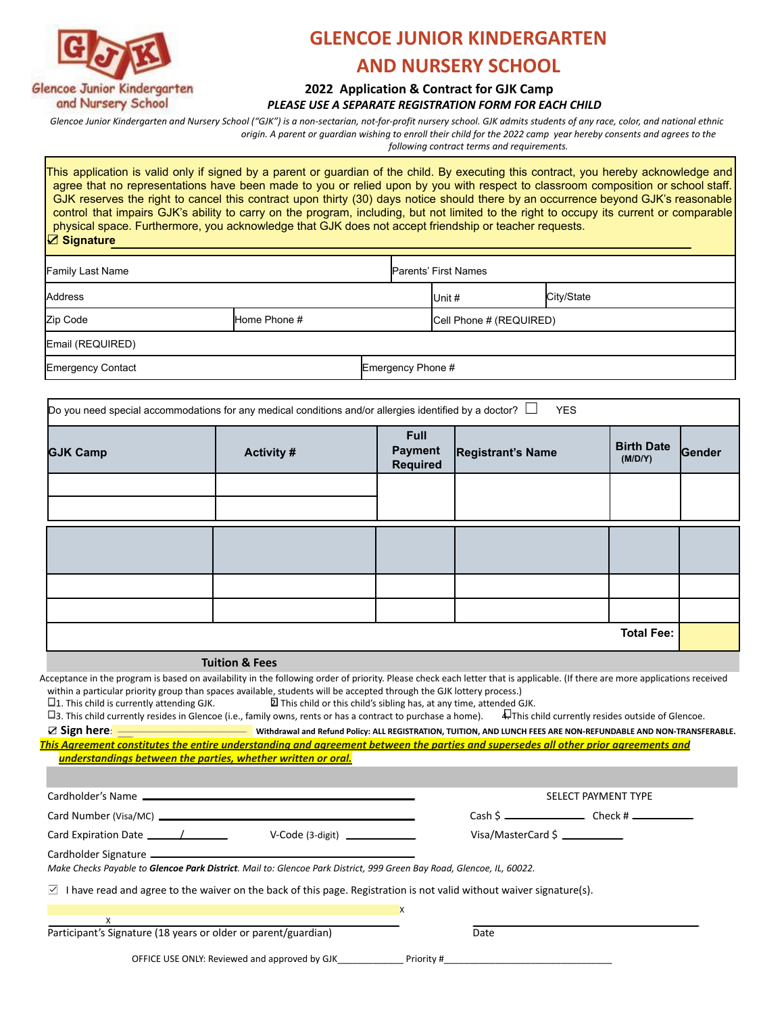

# **GLENCOE JUNIOR KINDERGARTEN**

# **AND NURSERY SCHOOL**

#### **2022 Application & Contract for GJK Camp** *PLEASE USE A SEPARATE REGISTRATION FORM FOR EACH CHILD*

Glencoe Junior Kindergarten and Nursery School ("GJK") is a non-sectarian, not-for-profit nursery school. GJK admits students of any race, color, and national ethnic origin. A parent or guardian wishing to enroll their child for the 2022 camp year hereby consents and agrees to the

*following contract terms and requirements.*

This application is valid only if signed by a parent or guardian of the child. By executing this contract, you hereby acknowledge and agree that no representations have been made to you or relied upon by you with respect to classroom composition or school staff. GJK reserves the right to cancel this contract upon thirty (30) days notice should there by an occurrence beyond GJK's reasonable control that impairs GJK's ability to carry on the program, including, but not limited to the right to occupy its current or comparable physical space. Furthermore, you acknowledge that GJK does not accept friendship or teacher requests. ☑ **Signature**

| Family Last Name  |              | <b>Parents' First Names</b> |                         |            |  |  |  |
|-------------------|--------------|-----------------------------|-------------------------|------------|--|--|--|
| Address           |              |                             | $I$ Unit#               | City/State |  |  |  |
| Zip Code          | Home Phone # |                             | Cell Phone # (REQUIRED) |            |  |  |  |
| Email (REQUIRED)  |              |                             |                         |            |  |  |  |
| Emergency Contact |              | Emergency Phone #           |                         |            |  |  |  |

| Do you need special accommodations for any medical conditions and/or allergies identified by a doctor? $\Box$<br><b>YES</b> |                   |                                                  |                          |                              |        |  |  |
|-----------------------------------------------------------------------------------------------------------------------------|-------------------|--------------------------------------------------|--------------------------|------------------------------|--------|--|--|
| <b>GJK Camp</b>                                                                                                             | <b>Activity #</b> | <b>Full</b><br><b>Payment</b><br><b>Required</b> | <b>Registrant's Name</b> | <b>Birth Date</b><br>(M/D/Y) | Gender |  |  |
|                                                                                                                             |                   |                                                  |                          |                              |        |  |  |
|                                                                                                                             |                   |                                                  |                          |                              |        |  |  |
|                                                                                                                             |                   |                                                  |                          |                              |        |  |  |
|                                                                                                                             |                   |                                                  |                          |                              |        |  |  |
|                                                                                                                             |                   |                                                  |                          |                              |        |  |  |
|                                                                                                                             |                   |                                                  |                          |                              |        |  |  |
| <b>Total Fee:</b>                                                                                                           |                   |                                                  |                          |                              |        |  |  |

**Tuition & Fees**

Acceptance in the program is based on availability in the following order of priority. Please check each letter that is applicable. (If there are more applications received within a particular priority group than spaces available, students will be accepted through the GJK lottery process.)<br>  $\Box$ 1. This child is currently attending GJK.  $\Box$  This child or this child's sibling has, at any tim

 $\overline{Q}$  This child or this child's sibling has, at any time, attended GJK.

3. This child currently resides in Glencoe (i.e., family owns, rents or has a contract to purchase a home). 4. This child currently resides outside of Glencoe.

■ Vithdrawal and Refund Policy: ALL REGISTRATION, TUITION, AND LUNCH FEES ARE NON-REFUNDABLE AND NON-TRANSFERABLE. *This Agreement constitutes the entire understanding and agreement between the parties and supersedes all other prior agreements and understandings between the parties, whether written or oral.*

|                                                                                                                                                                                                                                                               | SELECT PAYMENT TYPE                                                  |  |  |  |  |  |  |
|---------------------------------------------------------------------------------------------------------------------------------------------------------------------------------------------------------------------------------------------------------------|----------------------------------------------------------------------|--|--|--|--|--|--|
|                                                                                                                                                                                                                                                               | $Cash S$ $\overline{\phantom{C}}$ $Check H$ $\overline{\phantom{C}}$ |  |  |  |  |  |  |
| $V\text{-Code (3-digit)}$                                                                                                                                                                                                                                     |                                                                      |  |  |  |  |  |  |
| Make Checks Payable to Glencoe Park District. Mail to: Glencoe Park District, 999 Green Bay Road, Glencoe, IL, 60022.<br>I have read and agree to the waiver on the back of this page. Registration is not valid without waiver signature(s).<br>$\mathsf{M}$ |                                                                      |  |  |  |  |  |  |
| X                                                                                                                                                                                                                                                             |                                                                      |  |  |  |  |  |  |
| $\boldsymbol{X}$<br>Participant's Signature (18 years or older or parent/guardian)                                                                                                                                                                            | Date                                                                 |  |  |  |  |  |  |

OFFICE USE ONLY: Reviewed and approved by GJK\_\_\_\_\_\_\_\_\_\_\_\_\_\_\_\_\_\_\_\_\_\_ Priority #\_